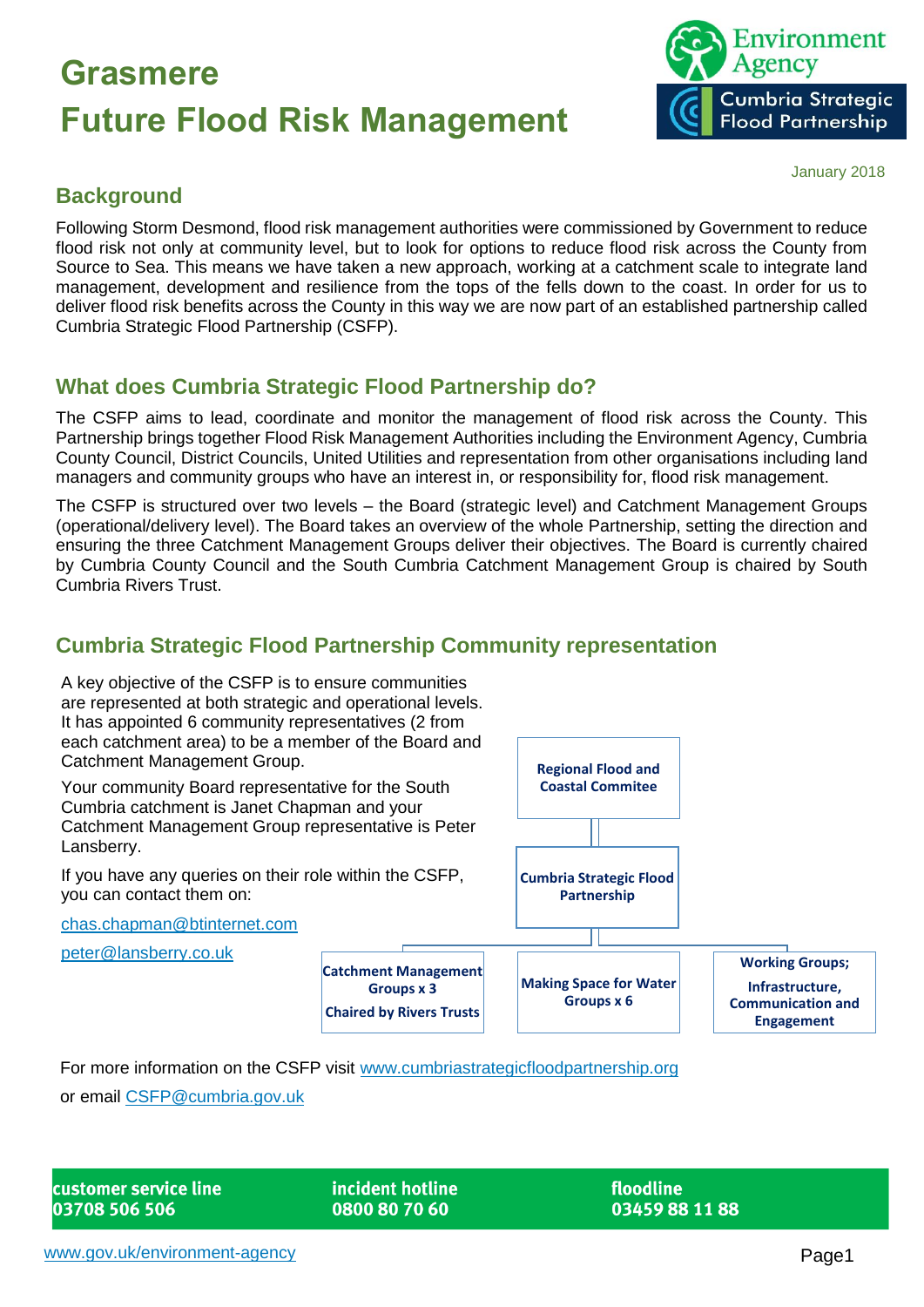### **Grasmere Future Flood Risk Management**



#### January 2018

#### **Background**

Following Storm Desmond, flood risk management authorities were commissioned by Government to reduce flood risk not only at community level, but to look for options to reduce flood risk across the County from Source to Sea. This means we have taken a new approach, working at a catchment scale to integrate land management, development and resilience from the tops of the fells down to the coast. In order for us to deliver flood risk benefits across the County in this way we are now part of an established partnership called Cumbria Strategic Flood Partnership (CSFP).

#### **What does Cumbria Strategic Flood Partnership do?**

The CSFP aims to lead, coordinate and monitor the management of flood risk across the County. This Partnership brings together Flood Risk Management Authorities including the Environment Agency, Cumbria County Council, District Councils, United Utilities and representation from other organisations including land managers and community groups who have an interest in, or responsibility for, flood risk management.

The CSFP is structured over two levels – the Board (strategic level) and Catchment Management Groups (operational/delivery level). The Board takes an overview of the whole Partnership, setting the direction and ensuring the three Catchment Management Groups deliver their objectives. The Board is currently chaired by Cumbria County Council and the South Cumbria Catchment Management Group is chaired by South Cumbria Rivers Trust.

### **Cumbria Strategic Flood Partnership Community representation**



For more information on the CSFP visit [www.cumbriastrategicfloodpartnership.org](http://www.cumbriastrategicfloodpartnership.org/)

or email [CSFP@cumbria.gov.uk](mailto:CSFP@cumbria.gov.uk)

| customer service line |  |
|-----------------------|--|
| 03708 506 506         |  |

incident hotline 0800 80 70 60

floodline 03459881188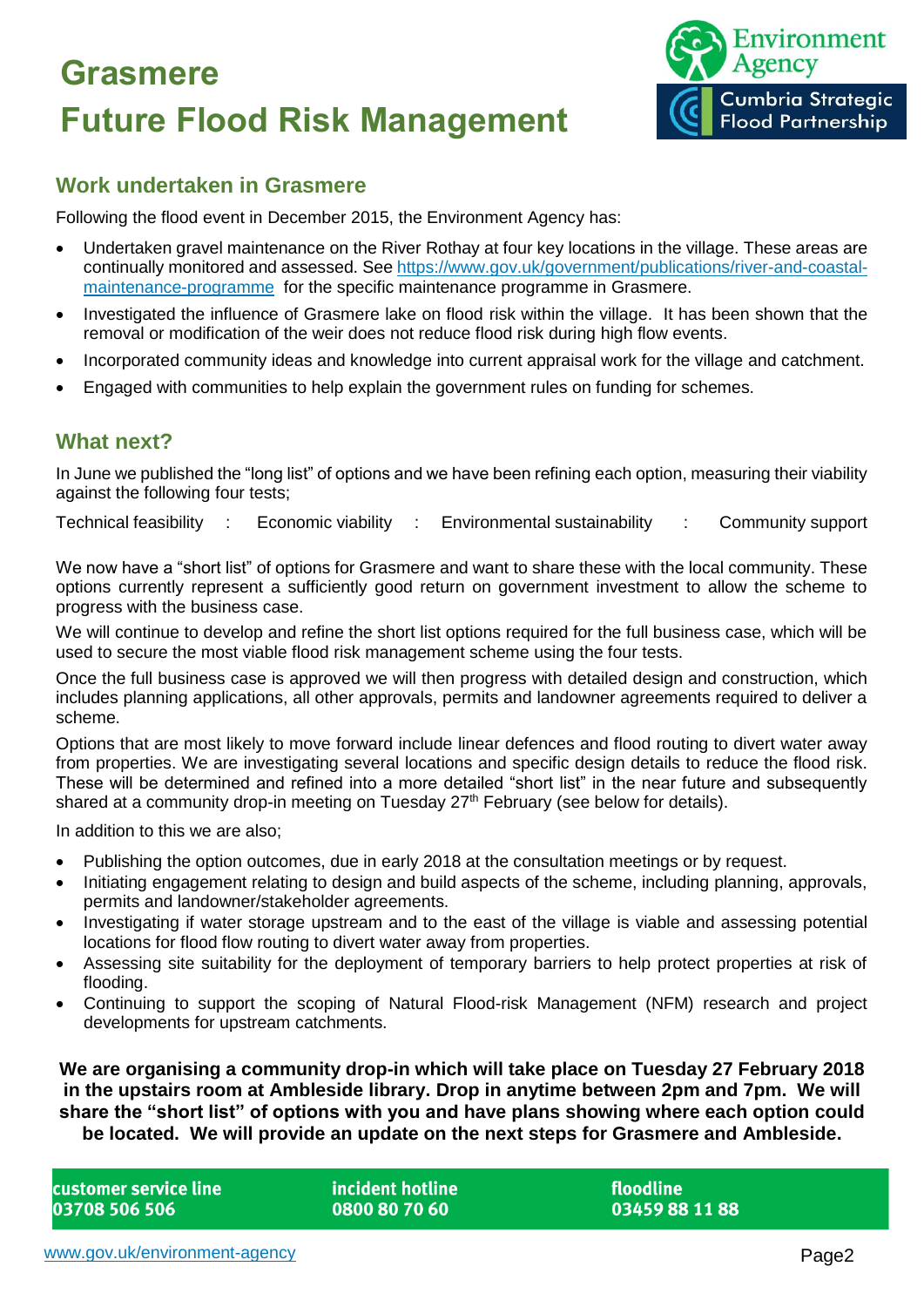# **Grasmere Future Flood Risk Management**



#### **Work undertaken in Grasmere**

Following the flood event in December 2015, the Environment Agency has:

- Undertaken gravel maintenance on the River Rothay at four key locations in the village. These areas are continually monitored and assessed. Se[e https://www.gov.uk/government/publications/river-and-coastal](https://www.gov.uk/government/publications/river-and-coastal-maintenance-programme)[maintenance-programme](https://www.gov.uk/government/publications/river-and-coastal-maintenance-programme) for the specific maintenance programme in Grasmere.
- Investigated the influence of Grasmere lake on flood risk within the village. It has been shown that the removal or modification of the weir does not reduce flood risk during high flow events.
- Incorporated community ideas and knowledge into current appraisal work for the village and catchment.
- Engaged with communities to help explain the government rules on funding for schemes.

#### **What next?**

In June we published the "long list" of options and we have been refining each option, measuring their viability against the following four tests;

Technical feasibility : Economic viability : Environmental sustainability : Community support

We now have a "short list" of options for Grasmere and want to share these with the local community. These options currently represent a sufficiently good return on government investment to allow the scheme to progress with the business case.

We will continue to develop and refine the short list options required for the full business case, which will be used to secure the most viable flood risk management scheme using the four tests.

Once the full business case is approved we will then progress with detailed design and construction, which includes planning applications, all other approvals, permits and landowner agreements required to deliver a scheme.

Options that are most likely to move forward include linear defences and flood routing to divert water away from properties. We are investigating several locations and specific design details to reduce the flood risk. These will be determined and refined into a more detailed "short list" in the near future and subsequently shared at a community drop-in meeting on Tuesday 27<sup>th</sup> February (see below for details).

In addition to this we are also;

- Publishing the option outcomes, due in early 2018 at the consultation meetings or by request.
- Initiating engagement relating to design and build aspects of the scheme, including planning, approvals, permits and landowner/stakeholder agreements.
- Investigating if water storage upstream and to the east of the village is viable and assessing potential locations for flood flow routing to divert water away from properties.
- Assessing site suitability for the deployment of temporary barriers to help protect properties at risk of flooding.
- Continuing to support the scoping of Natural Flood-risk Management (NFM) research and project developments for upstream catchments.

**We are organising a community drop-in which will take place on Tuesday 27 February 2018 in the upstairs room at Ambleside library. Drop in anytime between 2pm and 7pm. We will share the "short list" of options with you and have plans showing where each option could be located. We will provide an update on the next steps for Grasmere and Ambleside.**

| customer service line | lincident hotline l | rloodline '    |
|-----------------------|---------------------|----------------|
| 03708 506 506         | 0800 80 70 60       | 03459 88 11 88 |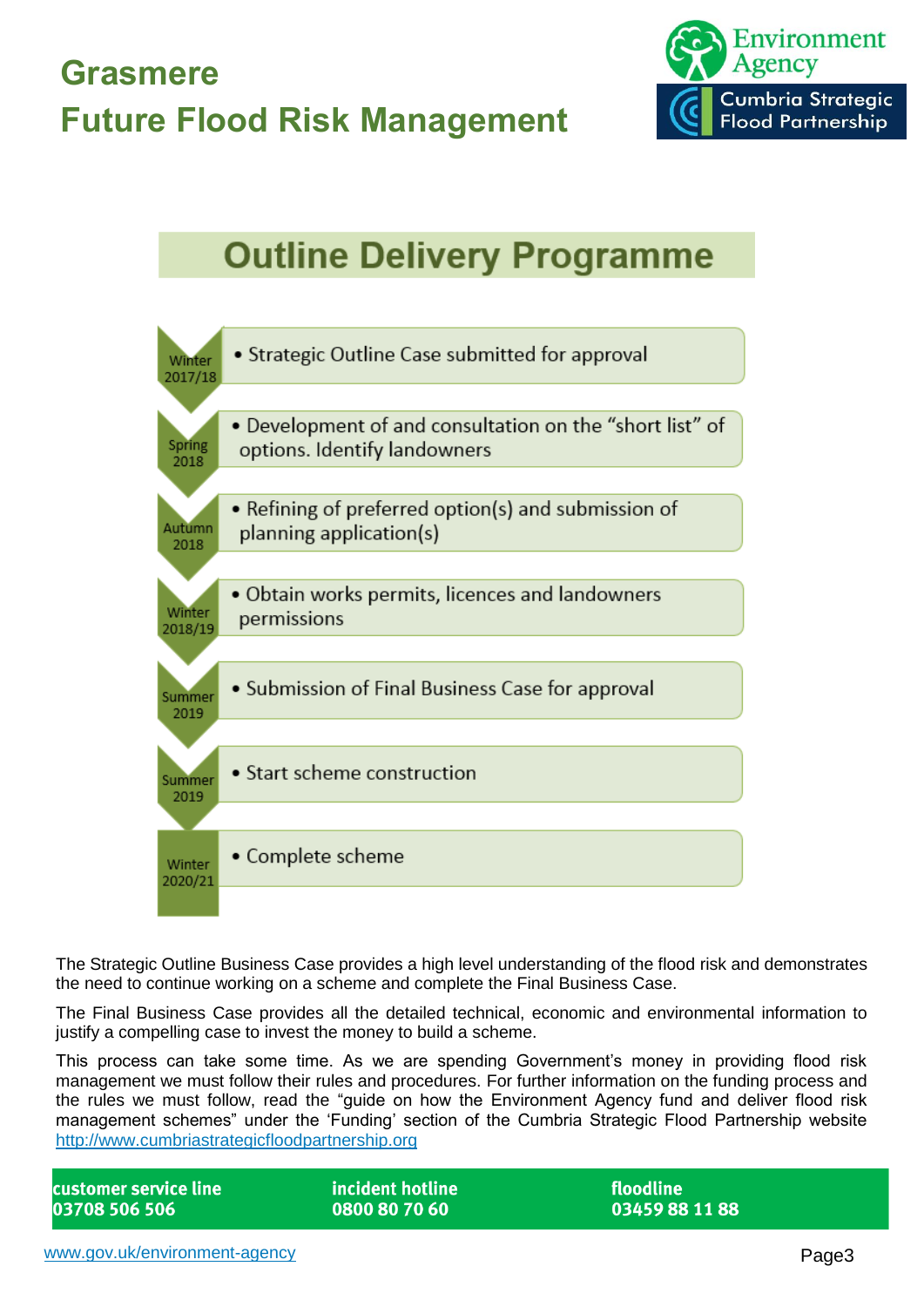

### **Outline Delivery Programme**



The Strategic Outline Business Case provides a high level understanding of the flood risk and demonstrates the need to continue working on a scheme and complete the Final Business Case.

The Final Business Case provides all the detailed technical, economic and environmental information to justify a compelling case to invest the money to build a scheme.

This process can take some time. As we are spending Government's money in providing flood risk management we must follow their rules and procedures. For further information on the funding process and the rules we must follow, read the "guide on how the Environment Agency fund and deliver flood risk management schemes" under the 'Funding' section of the Cumbria Strategic Flood Partnership website [http://www.cumbriastrategicfloodpartnership.org](http://www.cumbriastrategicfloodpartnership.org/)

| customer service line | incident hotline | floodline      |
|-----------------------|------------------|----------------|
| 03708 506 506         | 0800 80 70 60    | 03459 88 11 88 |
|                       |                  |                |